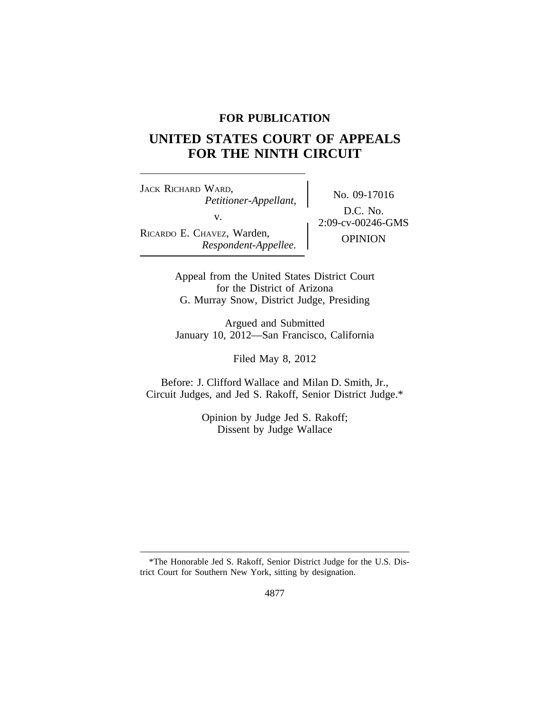# **FOR PUBLICATION**

# **UNITED STATES COURT OF APPEALS FOR THE NINTH CIRCUIT**

<sup>J</sup>ACK RICHARD WARD, No. 09-17016 *Petitioner-Appellant,* RICARDO E. CHAVEZ, Warden, **OPINION**<br>*Respondent-Appellee.* OPINION

D.C. No. v.  $2:09-\text{cv}-00246-\text{GMS}$ 

Appeal from the United States District Court for the District of Arizona G. Murray Snow, District Judge, Presiding

Argued and Submitted January 10, 2012—San Francisco, California

Filed May 8, 2012

Before: J. Clifford Wallace and Milan D. Smith, Jr., Circuit Judges, and Jed S. Rakoff, Senior District Judge.\*

> Opinion by Judge Jed S. Rakoff; Dissent by Judge Wallace

<sup>\*</sup>The Honorable Jed S. Rakoff, Senior District Judge for the U.S. District Court for Southern New York, sitting by designation.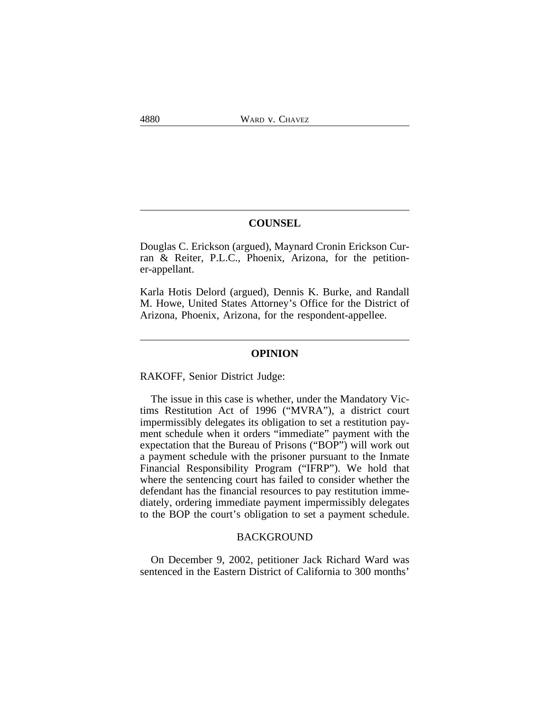# **COUNSEL**

Douglas C. Erickson (argued), Maynard Cronin Erickson Curran & Reiter, P.L.C., Phoenix, Arizona, for the petitioner-appellant.

Karla Hotis Delord (argued), Dennis K. Burke, and Randall M. Howe, United States Attorney's Office for the District of Arizona, Phoenix, Arizona, for the respondent-appellee.

#### **OPINION**

RAKOFF, Senior District Judge:

The issue in this case is whether, under the Mandatory Victims Restitution Act of 1996 ("MVRA"), a district court impermissibly delegates its obligation to set a restitution payment schedule when it orders "immediate" payment with the expectation that the Bureau of Prisons ("BOP") will work out a payment schedule with the prisoner pursuant to the Inmate Financial Responsibility Program ("IFRP"). We hold that where the sentencing court has failed to consider whether the defendant has the financial resources to pay restitution immediately, ordering immediate payment impermissibly delegates to the BOP the court's obligation to set a payment schedule.

### BACKGROUND

On December 9, 2002, petitioner Jack Richard Ward was sentenced in the Eastern District of California to 300 months'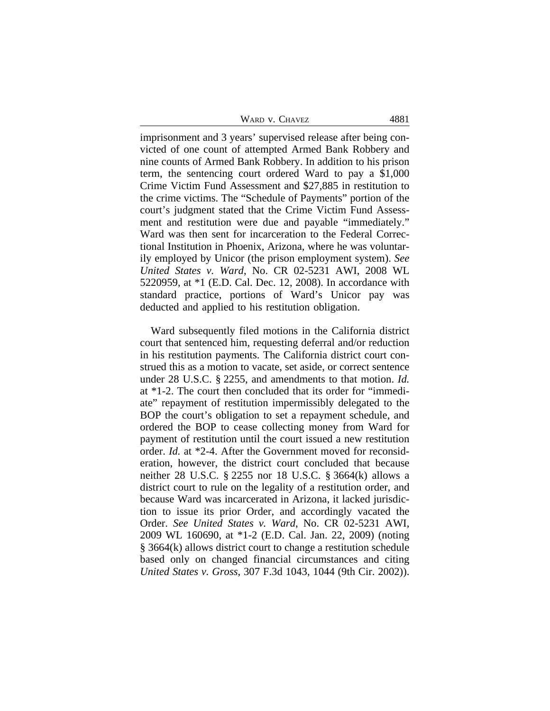| WARD V. CHAVEZ | 4881 |
|----------------|------|
|----------------|------|

imprisonment and 3 years' supervised release after being convicted of one count of attempted Armed Bank Robbery and nine counts of Armed Bank Robbery. In addition to his prison term, the sentencing court ordered Ward to pay a \$1,000 Crime Victim Fund Assessment and \$27,885 in restitution to the crime victims. The "Schedule of Payments" portion of the court's judgment stated that the Crime Victim Fund Assessment and restitution were due and payable "immediately." Ward was then sent for incarceration to the Federal Correctional Institution in Phoenix, Arizona, where he was voluntarily employed by Unicor (the prison employment system). *See United States v. Ward*, No. CR 02-5231 AWI, 2008 WL 5220959, at \*1 (E.D. Cal. Dec. 12, 2008). In accordance with standard practice, portions of Ward's Unicor pay was deducted and applied to his restitution obligation.

Ward subsequently filed motions in the California district court that sentenced him, requesting deferral and/or reduction in his restitution payments. The California district court construed this as a motion to vacate, set aside, or correct sentence under 28 U.S.C. § 2255, and amendments to that motion. *Id.* at \*1-2. The court then concluded that its order for "immediate" repayment of restitution impermissibly delegated to the BOP the court's obligation to set a repayment schedule, and ordered the BOP to cease collecting money from Ward for payment of restitution until the court issued a new restitution order. *Id.* at \*2-4. After the Government moved for reconsideration, however, the district court concluded that because neither 28 U.S.C. § 2255 nor 18 U.S.C. § 3664(k) allows a district court to rule on the legality of a restitution order, and because Ward was incarcerated in Arizona, it lacked jurisdiction to issue its prior Order, and accordingly vacated the Order. *See United States v. Ward*, No. CR 02-5231 AWI, 2009 WL 160690, at \*1-2 (E.D. Cal. Jan. 22, 2009) (noting § 3664(k) allows district court to change a restitution schedule based only on changed financial circumstances and citing *United States v. Gross*, 307 F.3d 1043, 1044 (9th Cir. 2002)).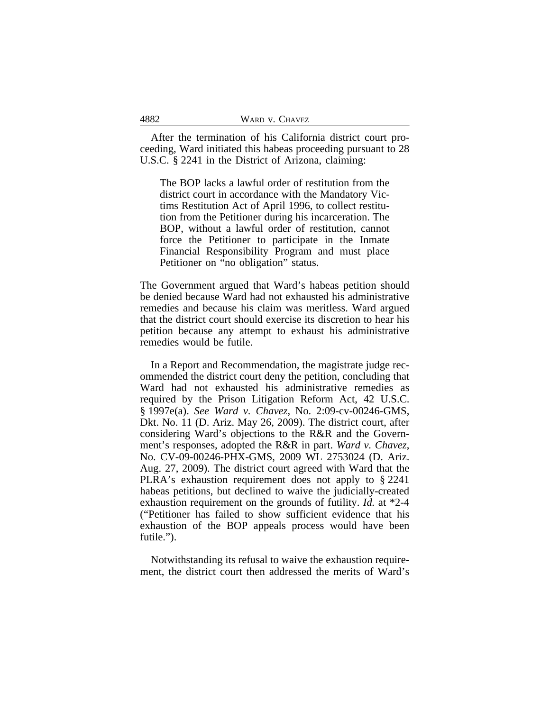| 4882 | WARD V. CHAVEZ |
|------|----------------|
|      |                |

After the termination of his California district court proceeding, Ward initiated this habeas proceeding pursuant to 28 U.S.C. § 2241 in the District of Arizona, claiming:

The BOP lacks a lawful order of restitution from the district court in accordance with the Mandatory Victims Restitution Act of April 1996, to collect restitution from the Petitioner during his incarceration. The BOP, without a lawful order of restitution, cannot force the Petitioner to participate in the Inmate Financial Responsibility Program and must place Petitioner on "no obligation" status.

The Government argued that Ward's habeas petition should be denied because Ward had not exhausted his administrative remedies and because his claim was meritless. Ward argued that the district court should exercise its discretion to hear his petition because any attempt to exhaust his administrative remedies would be futile.

In a Report and Recommendation, the magistrate judge recommended the district court deny the petition, concluding that Ward had not exhausted his administrative remedies as required by the Prison Litigation Reform Act, 42 U.S.C. § 1997e(a). *See Ward v. Chavez*, No. 2:09-cv-00246-GMS, Dkt. No. 11 (D. Ariz. May 26, 2009). The district court, after considering Ward's objections to the R&R and the Government's responses, adopted the R&R in part. *Ward v. Chavez*, No. CV-09-00246-PHX-GMS, 2009 WL 2753024 (D. Ariz. Aug. 27, 2009). The district court agreed with Ward that the PLRA's exhaustion requirement does not apply to § 2241 habeas petitions, but declined to waive the judicially-created exhaustion requirement on the grounds of futility. *Id.* at \*2-4 ("Petitioner has failed to show sufficient evidence that his exhaustion of the BOP appeals process would have been futile.").

Notwithstanding its refusal to waive the exhaustion requirement, the district court then addressed the merits of Ward's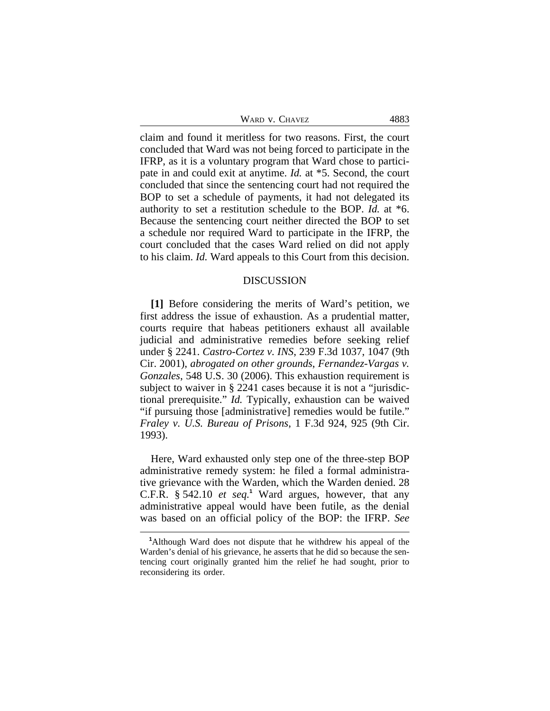| WARD V. CHAVEZ | 4883 |
|----------------|------|
|                |      |

claim and found it meritless for two reasons. First, the court concluded that Ward was not being forced to participate in the IFRP, as it is a voluntary program that Ward chose to participate in and could exit at anytime. *Id.* at \*5. Second, the court concluded that since the sentencing court had not required the BOP to set a schedule of payments, it had not delegated its authority to set a restitution schedule to the BOP. *Id.* at \*6. Because the sentencing court neither directed the BOP to set a schedule nor required Ward to participate in the IFRP, the court concluded that the cases Ward relied on did not apply to his claim. *Id.* Ward appeals to this Court from this decision.

# DISCUSSION

**[1]** Before considering the merits of Ward's petition, we first address the issue of exhaustion. As a prudential matter, courts require that habeas petitioners exhaust all available judicial and administrative remedies before seeking relief under § 2241. *Castro-Cortez v. INS*, 239 F.3d 1037, 1047 (9th Cir. 2001), *abrogated on other grounds*, *Fernandez-Vargas v. Gonzales*, 548 U.S. 30 (2006). This exhaustion requirement is subject to waiver in § 2241 cases because it is not a "jurisdictional prerequisite." *Id.* Typically, exhaustion can be waived "if pursuing those [administrative] remedies would be futile." *Fraley v. U.S. Bureau of Prisons*, 1 F.3d 924, 925 (9th Cir. 1993).

Here, Ward exhausted only step one of the three-step BOP administrative remedy system: he filed a formal administrative grievance with the Warden, which the Warden denied. 28 C.F.R. § 542.10 *et seq.***<sup>1</sup>** Ward argues, however, that any administrative appeal would have been futile, as the denial was based on an official policy of the BOP: the IFRP. *See*

**<sup>1</sup>**Although Ward does not dispute that he withdrew his appeal of the Warden's denial of his grievance, he asserts that he did so because the sentencing court originally granted him the relief he had sought, prior to reconsidering its order.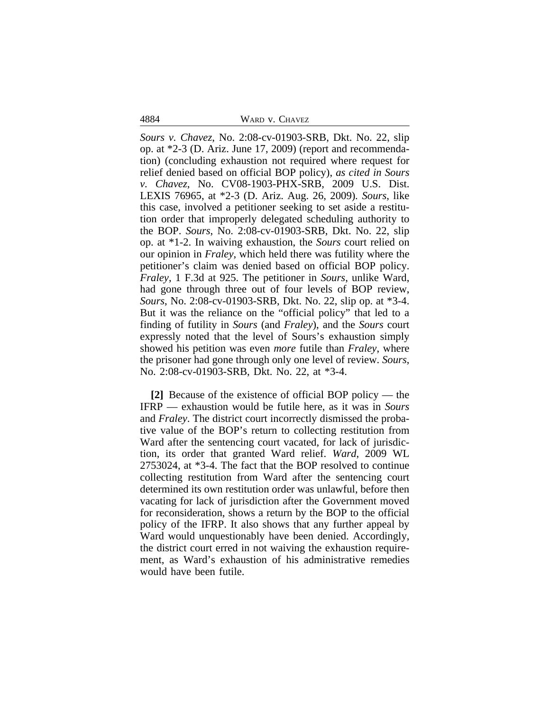4884 WARD v. CHAVEZ

*Sours v. Chavez*, No. 2:08-cv-01903-SRB, Dkt. No. 22, slip op. at \*2-3 (D. Ariz. June 17, 2009) (report and recommendation) (concluding exhaustion not required where request for relief denied based on official BOP policy), *as cited in Sours v. Chavez*, No. CV08-1903-PHX-SRB, 2009 U.S. Dist. LEXIS 76965, at \*2-3 (D. Ariz. Aug. 26, 2009)*. Sours*, like this case, involved a petitioner seeking to set aside a restitution order that improperly delegated scheduling authority to the BOP. *Sours*, No. 2:08-cv-01903-SRB, Dkt. No. 22, slip op. at \*1-2. In waiving exhaustion, the *Sours* court relied on our opinion in *Fraley*, which held there was futility where the petitioner's claim was denied based on official BOP policy. *Fraley*, 1 F.3d at 925. The petitioner in *Sours*, unlike Ward, had gone through three out of four levels of BOP review, *Sours*, No. 2:08-cv-01903-SRB, Dkt. No. 22, slip op. at \*3-4. But it was the reliance on the "official policy" that led to a finding of futility in *Sours* (and *Fraley*), and the *Sours* court expressly noted that the level of Sours's exhaustion simply showed his petition was even *more* futile than *Fraley*, where the prisoner had gone through only one level of review. *Sours*, No. 2:08-cv-01903-SRB, Dkt. No. 22, at \*3-4.

**[2]** Because of the existence of official BOP policy — the IFRP — exhaustion would be futile here, as it was in *Sours* and *Fraley*. The district court incorrectly dismissed the probative value of the BOP's return to collecting restitution from Ward after the sentencing court vacated, for lack of jurisdiction, its order that granted Ward relief. *Ward*, 2009 WL 2753024, at \*3-4. The fact that the BOP resolved to continue collecting restitution from Ward after the sentencing court determined its own restitution order was unlawful, before then vacating for lack of jurisdiction after the Government moved for reconsideration, shows a return by the BOP to the official policy of the IFRP. It also shows that any further appeal by Ward would unquestionably have been denied. Accordingly, the district court erred in not waiving the exhaustion requirement, as Ward's exhaustion of his administrative remedies would have been futile.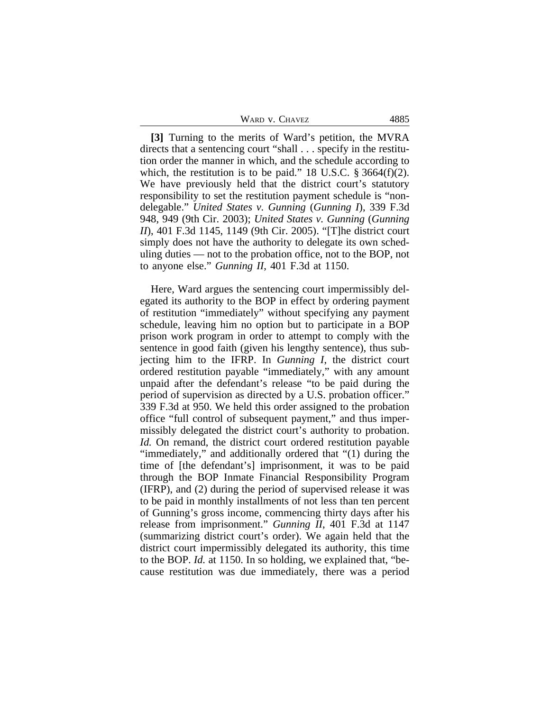| WARD V. CHAVEZ | 4885 |
|----------------|------|
|----------------|------|

**[3]** Turning to the merits of Ward's petition, the MVRA directs that a sentencing court "shall . . . specify in the restitution order the manner in which, and the schedule according to which, the restitution is to be paid." 18 U.S.C.  $\S 3664(f)(2)$ . We have previously held that the district court's statutory responsibility to set the restitution payment schedule is "nondelegable." *United States v. Gunning* (*Gunning I*), 339 F.3d 948, 949 (9th Cir. 2003); *United States v. Gunning* (*Gunning II*), 401 F.3d 1145, 1149 (9th Cir. 2005). "[T]he district court simply does not have the authority to delegate its own scheduling duties — not to the probation office, not to the BOP, not to anyone else." *Gunning II*, 401 F.3d at 1150.

Here, Ward argues the sentencing court impermissibly delegated its authority to the BOP in effect by ordering payment of restitution "immediately" without specifying any payment schedule, leaving him no option but to participate in a BOP prison work program in order to attempt to comply with the sentence in good faith (given his lengthy sentence), thus subjecting him to the IFRP. In *Gunning I*, the district court ordered restitution payable "immediately," with any amount unpaid after the defendant's release "to be paid during the period of supervision as directed by a U.S. probation officer." 339 F.3d at 950. We held this order assigned to the probation office "full control of subsequent payment," and thus impermissibly delegated the district court's authority to probation. *Id.* On remand, the district court ordered restitution payable "immediately," and additionally ordered that "(1) during the time of [the defendant's] imprisonment, it was to be paid through the BOP Inmate Financial Responsibility Program (IFRP), and (2) during the period of supervised release it was to be paid in monthly installments of not less than ten percent of Gunning's gross income, commencing thirty days after his release from imprisonment." *Gunning II*, 401 F.3d at 1147 (summarizing district court's order). We again held that the district court impermissibly delegated its authority, this time to the BOP. *Id.* at 1150. In so holding, we explained that, "because restitution was due immediately, there was a period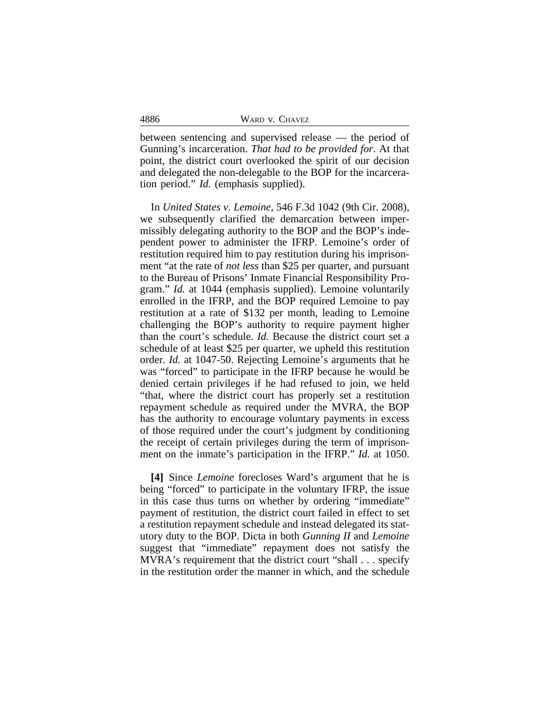|  |  | WARD V. CHAVEZ |
|--|--|----------------|
|--|--|----------------|

between sentencing and supervised release — the period of Gunning's incarceration. *That had to be provided for*. At that point, the district court overlooked the spirit of our decision and delegated the non-delegable to the BOP for the incarceration period." *Id.* (emphasis supplied).

In *United States v. Lemoine*, 546 F.3d 1042 (9th Cir. 2008), we subsequently clarified the demarcation between impermissibly delegating authority to the BOP and the BOP's independent power to administer the IFRP. Lemoine's order of restitution required him to pay restitution during his imprisonment "at the rate of *not less* than \$25 per quarter, and pursuant to the Bureau of Prisons' Inmate Financial Responsibility Program." *Id.* at 1044 (emphasis supplied). Lemoine voluntarily enrolled in the IFRP, and the BOP required Lemoine to pay restitution at a rate of \$132 per month, leading to Lemoine challenging the BOP's authority to require payment higher than the court's schedule. *Id.* Because the district court set a schedule of at least \$25 per quarter, we upheld this restitution order. *Id.* at 1047-50. Rejecting Lemoine's arguments that he was "forced" to participate in the IFRP because he would be denied certain privileges if he had refused to join, we held "that, where the district court has properly set a restitution repayment schedule as required under the MVRA, the BOP has the authority to encourage voluntary payments in excess of those required under the court's judgment by conditioning the receipt of certain privileges during the term of imprisonment on the inmate's participation in the IFRP." *Id.* at 1050.

**[4]** Since *Lemoine* forecloses Ward's argument that he is being "forced" to participate in the voluntary IFRP, the issue in this case thus turns on whether by ordering "immediate" payment of restitution, the district court failed in effect to set a restitution repayment schedule and instead delegated its statutory duty to the BOP. Dicta in both *Gunning II* and *Lemoine* suggest that "immediate" repayment does not satisfy the MVRA's requirement that the district court "shall . . . specify in the restitution order the manner in which, and the schedule

4886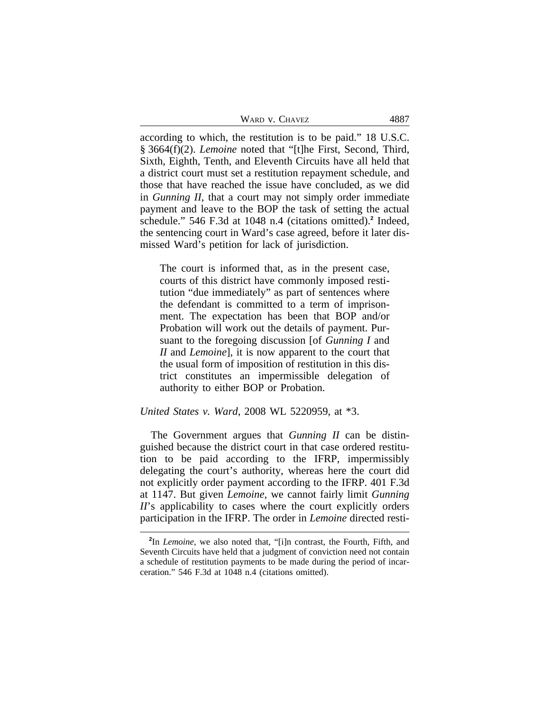| WARD V. CHAVEZ | 4887 |
|----------------|------|
|----------------|------|

according to which, the restitution is to be paid." 18 U.S.C. § 3664(f)(2). *Lemoine* noted that "[t]he First, Second, Third, Sixth, Eighth, Tenth, and Eleventh Circuits have all held that a district court must set a restitution repayment schedule, and those that have reached the issue have concluded, as we did in *Gunning II*, that a court may not simply order immediate payment and leave to the BOP the task of setting the actual schedule." 546 F.3d at 1048 n.4 (citations omitted).**<sup>2</sup>** Indeed, the sentencing court in Ward's case agreed, before it later dismissed Ward's petition for lack of jurisdiction.

The court is informed that, as in the present case, courts of this district have commonly imposed restitution "due immediately" as part of sentences where the defendant is committed to a term of imprisonment. The expectation has been that BOP and/or Probation will work out the details of payment. Pursuant to the foregoing discussion [of *Gunning I* and *II* and *Lemoine*], it is now apparent to the court that the usual form of imposition of restitution in this district constitutes an impermissible delegation of authority to either BOP or Probation.

# *United States v. Ward*, 2008 WL 5220959, at \*3.

The Government argues that *Gunning II* can be distinguished because the district court in that case ordered restitution to be paid according to the IFRP, impermissibly delegating the court's authority, whereas here the court did not explicitly order payment according to the IFRP. 401 F.3d at 1147. But given *Lemoine*, we cannot fairly limit *Gunning II*'s applicability to cases where the court explicitly orders participation in the IFRP. The order in *Lemoine* directed resti-

**<sup>2</sup>** In *Lemoine*, we also noted that, "[i]n contrast, the Fourth, Fifth, and Seventh Circuits have held that a judgment of conviction need not contain a schedule of restitution payments to be made during the period of incarceration." 546 F.3d at 1048 n.4 (citations omitted).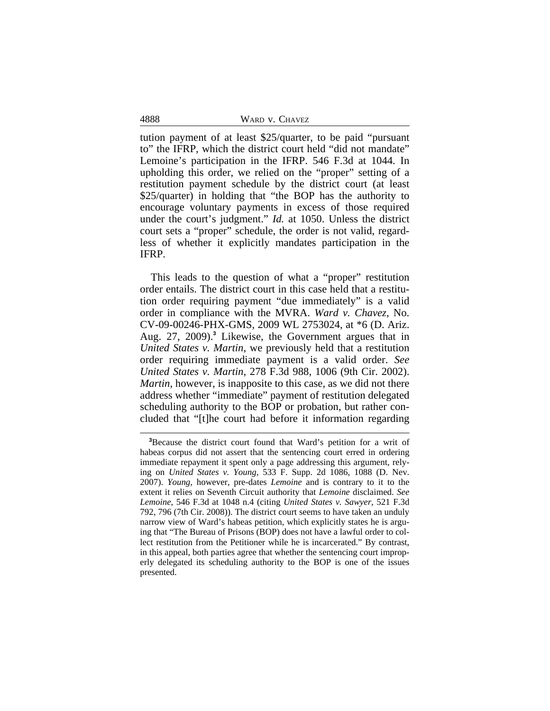|  |  | WARD V. CHAVEZ |
|--|--|----------------|
|--|--|----------------|

tution payment of at least \$25/quarter, to be paid "pursuant to" the IFRP, which the district court held "did not mandate" Lemoine's participation in the IFRP. 546 F.3d at 1044. In upholding this order, we relied on the "proper" setting of a restitution payment schedule by the district court (at least \$25/quarter) in holding that "the BOP has the authority to encourage voluntary payments in excess of those required under the court's judgment." *Id.* at 1050. Unless the district court sets a "proper" schedule, the order is not valid, regardless of whether it explicitly mandates participation in the IFRP.

This leads to the question of what a "proper" restitution order entails. The district court in this case held that a restitution order requiring payment "due immediately" is a valid order in compliance with the MVRA. *Ward v. Chavez*, No. CV-09-00246-PHX-GMS, 2009 WL 2753024, at \*6 (D. Ariz. Aug. 27, 2009).**<sup>3</sup>** Likewise, the Government argues that in *United States v. Martin*, we previously held that a restitution order requiring immediate payment is a valid order. *See United States v. Martin*, 278 F.3d 988, 1006 (9th Cir. 2002). *Martin*, however, is inapposite to this case, as we did not there address whether "immediate" payment of restitution delegated scheduling authority to the BOP or probation, but rather concluded that "[t]he court had before it information regarding

4888

**<sup>3</sup>**Because the district court found that Ward's petition for a writ of habeas corpus did not assert that the sentencing court erred in ordering immediate repayment it spent only a page addressing this argument, relying on *United States v. Young*, 533 F. Supp. 2d 1086, 1088 (D. Nev. 2007). *Young*, however, pre-dates *Lemoine* and is contrary to it to the extent it relies on Seventh Circuit authority that *Lemoine* disclaimed. *See Lemoine*, 546 F.3d at 1048 n.4 (citing *United States v. Sawyer*, 521 F.3d 792, 796 (7th Cir. 2008)). The district court seems to have taken an unduly narrow view of Ward's habeas petition, which explicitly states he is arguing that "The Bureau of Prisons (BOP) does not have a lawful order to collect restitution from the Petitioner while he is incarcerated." By contrast, in this appeal, both parties agree that whether the sentencing court improperly delegated its scheduling authority to the BOP is one of the issues presented.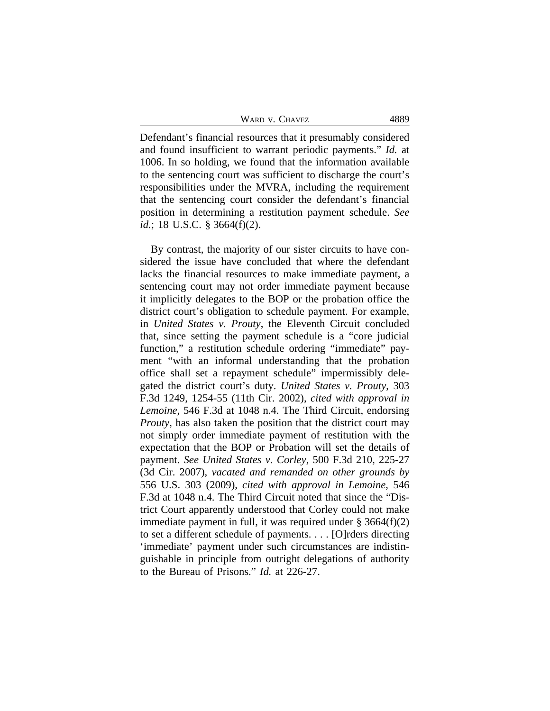WARD V. CHAVEZ 4889

Defendant's financial resources that it presumably considered and found insufficient to warrant periodic payments." *Id.* at 1006. In so holding, we found that the information available to the sentencing court was sufficient to discharge the court's responsibilities under the MVRA, including the requirement that the sentencing court consider the defendant's financial position in determining a restitution payment schedule. *See id.*; 18 U.S.C. § 3664(f)(2).

By contrast, the majority of our sister circuits to have considered the issue have concluded that where the defendant lacks the financial resources to make immediate payment, a sentencing court may not order immediate payment because it implicitly delegates to the BOP or the probation office the district court's obligation to schedule payment. For example, in *United States v. Prouty*, the Eleventh Circuit concluded that, since setting the payment schedule is a "core judicial function," a restitution schedule ordering "immediate" payment "with an informal understanding that the probation office shall set a repayment schedule" impermissibly delegated the district court's duty. *United States v. Prouty*, 303 F.3d 1249, 1254-55 (11th Cir. 2002), *cited with approval in Lemoine*, 546 F.3d at 1048 n.4. The Third Circuit, endorsing *Prouty*, has also taken the position that the district court may not simply order immediate payment of restitution with the expectation that the BOP or Probation will set the details of payment. *See United States v. Corley*, 500 F.3d 210, 225-27 (3d Cir. 2007), *vacated and remanded on other grounds by* 556 U.S. 303 (2009), *cited with approval in Lemoine*, 546 F.3d at 1048 n.4. The Third Circuit noted that since the "District Court apparently understood that Corley could not make immediate payment in full, it was required under  $\S 3664(f)(2)$ to set a different schedule of payments. . . . [O]rders directing 'immediate' payment under such circumstances are indistinguishable in principle from outright delegations of authority to the Bureau of Prisons." *Id.* at 226-27.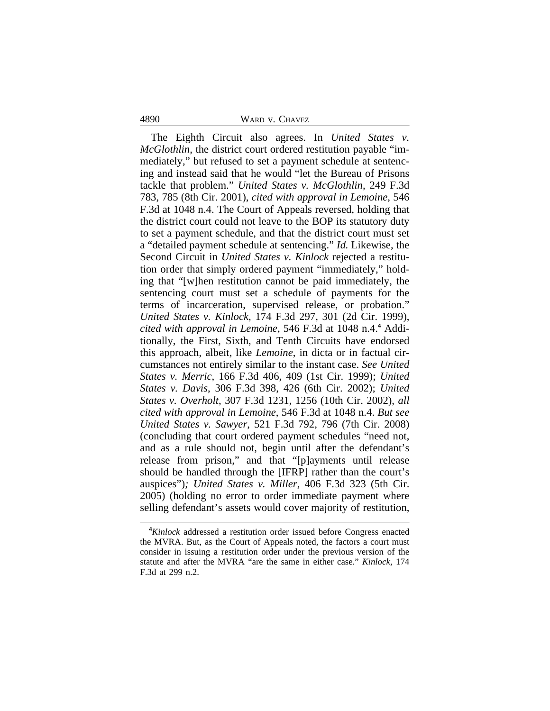#### 4890 WARD v. CHAVEZ

The Eighth Circuit also agrees. In *United States v. McGlothlin*, the district court ordered restitution payable "immediately," but refused to set a payment schedule at sentencing and instead said that he would "let the Bureau of Prisons tackle that problem." *United States v. McGlothlin*, 249 F.3d 783, 785 (8th Cir. 2001), *cited with approval in Lemoine*, 546 F.3d at 1048 n.4. The Court of Appeals reversed, holding that the district court could not leave to the BOP its statutory duty to set a payment schedule, and that the district court must set a "detailed payment schedule at sentencing." *Id.* Likewise, the Second Circuit in *United States v. Kinlock* rejected a restitution order that simply ordered payment "immediately," holding that "[w]hen restitution cannot be paid immediately, the sentencing court must set a schedule of payments for the terms of incarceration, supervised release, or probation." *United States v. Kinlock*, 174 F.3d 297, 301 (2d Cir. 1999), *cited with approval in Lemoine*, 546 F.3d at 1048 n.4.**<sup>4</sup>** Additionally, the First, Sixth, and Tenth Circuits have endorsed this approach, albeit, like *Lemoine*, in dicta or in factual circumstances not entirely similar to the instant case. *See United States v. Merric*, 166 F.3d 406, 409 (1st Cir. 1999); *United States v. Davis*, 306 F.3d 398, 426 (6th Cir. 2002); *United States v. Overholt*, 307 F.3d 1231, 1256 (10th Cir. 2002), *all cited with approval in Lemoine*, 546 F.3d at 1048 n.4. *But see United States v. Sawyer*, 521 F.3d 792, 796 (7th Cir. 2008) (concluding that court ordered payment schedules "need not, and as a rule should not, begin until after the defendant's release from prison," and that "[p]ayments until release should be handled through the [IFRP] rather than the court's auspices")*; United States v. Miller*, 406 F.3d 323 (5th Cir. 2005) (holding no error to order immediate payment where selling defendant's assets would cover majority of restitution,

**<sup>4</sup>***Kinlock* addressed a restitution order issued before Congress enacted the MVRA. But, as the Court of Appeals noted, the factors a court must consider in issuing a restitution order under the previous version of the statute and after the MVRA "are the same in either case." *Kinlock*, 174 F.3d at 299 n.2.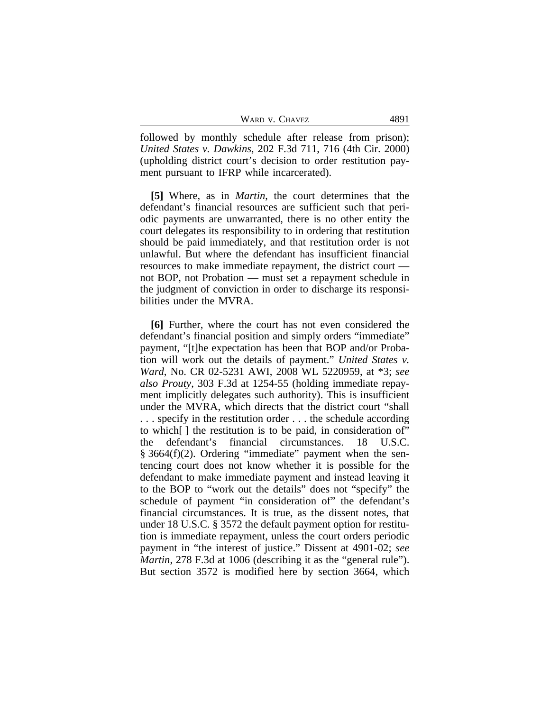| WARD V. CHAVEZ | 4891 |
|----------------|------|
|----------------|------|

followed by monthly schedule after release from prison); *United States v. Dawkins*, 202 F.3d 711, 716 (4th Cir. 2000) (upholding district court's decision to order restitution payment pursuant to IFRP while incarcerated).

**[5]** Where, as in *Martin*, the court determines that the defendant's financial resources are sufficient such that periodic payments are unwarranted, there is no other entity the court delegates its responsibility to in ordering that restitution should be paid immediately, and that restitution order is not unlawful. But where the defendant has insufficient financial resources to make immediate repayment, the district court not BOP, not Probation — must set a repayment schedule in the judgment of conviction in order to discharge its responsibilities under the MVRA.

**[6]** Further, where the court has not even considered the defendant's financial position and simply orders "immediate" payment, "[t]he expectation has been that BOP and/or Probation will work out the details of payment." *United States v. Ward*, No. CR 02-5231 AWI, 2008 WL 5220959, at \*3; *see also Prouty*, 303 F.3d at 1254-55 (holding immediate repayment implicitly delegates such authority). This is insufficient under the MVRA, which directs that the district court "shall . . . specify in the restitution order . . . the schedule according to which[ ] the restitution is to be paid, in consideration of" the defendant's financial circumstances. 18 U.S.C. § 3664(f)(2). Ordering "immediate" payment when the sentencing court does not know whether it is possible for the defendant to make immediate payment and instead leaving it to the BOP to "work out the details" does not "specify" the schedule of payment "in consideration of" the defendant's financial circumstances. It is true, as the dissent notes, that under 18 U.S.C. § 3572 the default payment option for restitution is immediate repayment, unless the court orders periodic payment in "the interest of justice." Dissent at 4901-02; *see Martin*, 278 F.3d at 1006 (describing it as the "general rule"). But section 3572 is modified here by section 3664, which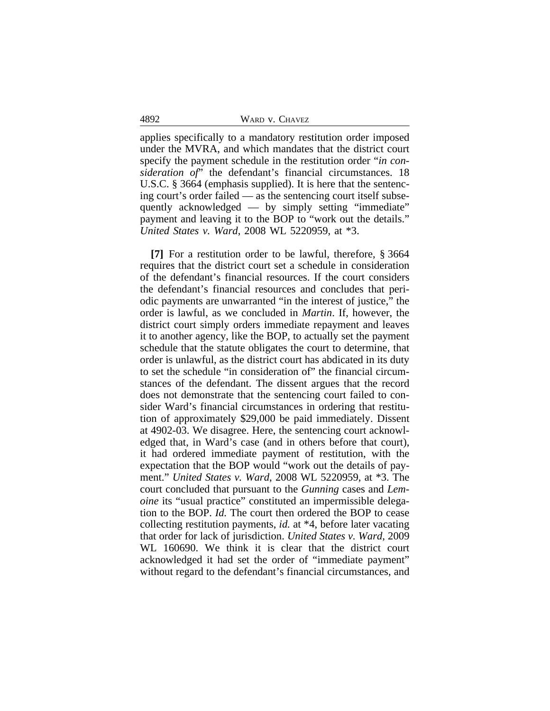4892 WARD v. CHAVEZ

applies specifically to a mandatory restitution order imposed under the MVRA, and which mandates that the district court specify the payment schedule in the restitution order "*in consideration of*" the defendant's financial circumstances. 18 U.S.C. § 3664 (emphasis supplied). It is here that the sentencing court's order failed — as the sentencing court itself subsequently acknowledged — by simply setting "immediate" payment and leaving it to the BOP to "work out the details." *United States v. Ward*, 2008 WL 5220959, at \*3.

**[7]** For a restitution order to be lawful, therefore, § 3664 requires that the district court set a schedule in consideration of the defendant's financial resources. If the court considers the defendant's financial resources and concludes that periodic payments are unwarranted "in the interest of justice," the order is lawful, as we concluded in *Martin*. If, however, the district court simply orders immediate repayment and leaves it to another agency, like the BOP, to actually set the payment schedule that the statute obligates the court to determine, that order is unlawful, as the district court has abdicated in its duty to set the schedule "in consideration of" the financial circumstances of the defendant. The dissent argues that the record does not demonstrate that the sentencing court failed to consider Ward's financial circumstances in ordering that restitution of approximately \$29,000 be paid immediately. Dissent at 4902-03. We disagree. Here, the sentencing court acknowledged that, in Ward's case (and in others before that court), it had ordered immediate payment of restitution, with the expectation that the BOP would "work out the details of payment." *United States v. Ward*, 2008 WL 5220959, at \*3. The court concluded that pursuant to the *Gunning* cases and *Lemoine* its "usual practice" constituted an impermissible delegation to the BOP. *Id.* The court then ordered the BOP to cease collecting restitution payments, *id.* at \*4, before later vacating that order for lack of jurisdiction. *United States v. Ward*, 2009 WL 160690. We think it is clear that the district court acknowledged it had set the order of "immediate payment" without regard to the defendant's financial circumstances, and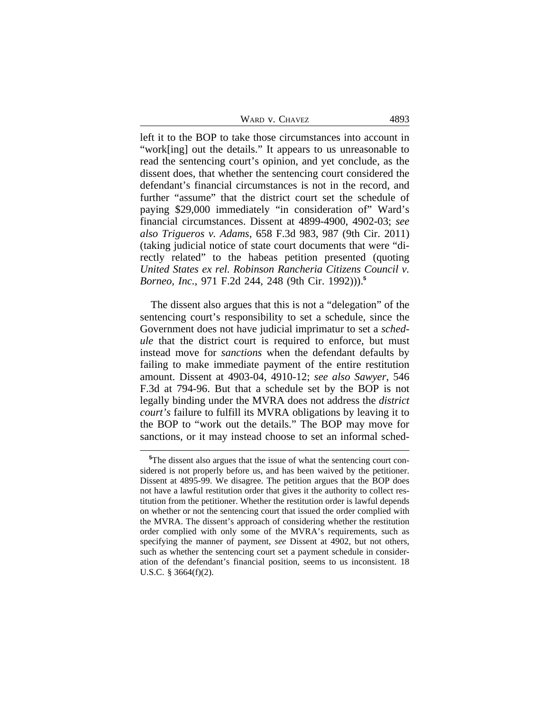| WARD V. CHAVEZ | 4893 |
|----------------|------|
|----------------|------|

left it to the BOP to take those circumstances into account in "work[ing] out the details." It appears to us unreasonable to read the sentencing court's opinion, and yet conclude, as the dissent does, that whether the sentencing court considered the defendant's financial circumstances is not in the record, and further "assume" that the district court set the schedule of paying \$29,000 immediately "in consideration of" Ward's financial circumstances. Dissent at 4899-4900, 4902-03; *see also Trigueros v. Adams*, 658 F.3d 983, 987 (9th Cir. 2011) (taking judicial notice of state court documents that were "directly related" to the habeas petition presented (quoting *United States ex rel. Robinson Rancheria Citizens Council v. Borneo, Inc.*, 971 F.2d 244, 248 (9th Cir. 1992))).**<sup>5</sup>**

The dissent also argues that this is not a "delegation" of the sentencing court's responsibility to set a schedule, since the Government does not have judicial imprimatur to set a *schedule* that the district court is required to enforce, but must instead move for *sanctions* when the defendant defaults by failing to make immediate payment of the entire restitution amount. Dissent at 4903-04, 4910-12; *see also Sawyer*, 546 F.3d at 794-96. But that a schedule set by the BOP is not legally binding under the MVRA does not address the *district court's* failure to fulfill its MVRA obligations by leaving it to the BOP to "work out the details." The BOP may move for sanctions, or it may instead choose to set an informal sched-

**<sup>5</sup>**The dissent also argues that the issue of what the sentencing court considered is not properly before us, and has been waived by the petitioner. Dissent at 4895-99. We disagree. The petition argues that the BOP does not have a lawful restitution order that gives it the authority to collect restitution from the petitioner. Whether the restitution order is lawful depends on whether or not the sentencing court that issued the order complied with the MVRA. The dissent's approach of considering whether the restitution order complied with only some of the MVRA's requirements, such as specifying the manner of payment, *see* Dissent at 4902, but not others, such as whether the sentencing court set a payment schedule in consideration of the defendant's financial position, seems to us inconsistent. 18 U.S.C. § 3664(f)(2).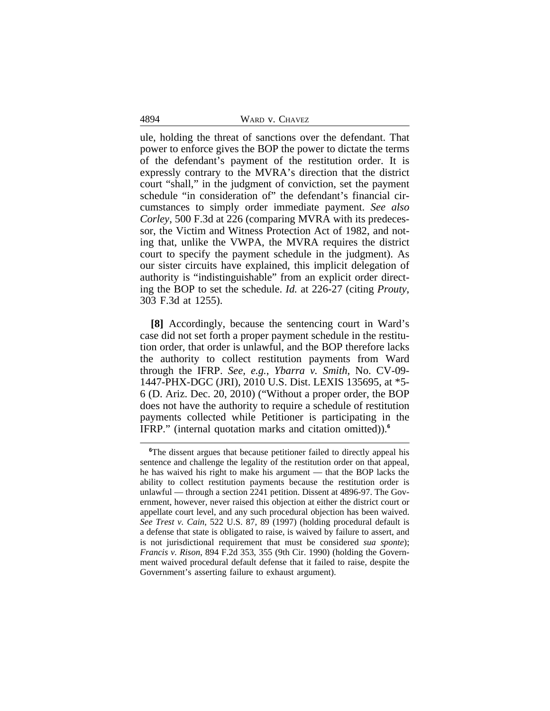4894 WARD v. CHAVEZ

ule, holding the threat of sanctions over the defendant. That power to enforce gives the BOP the power to dictate the terms of the defendant's payment of the restitution order. It is expressly contrary to the MVRA's direction that the district court "shall," in the judgment of conviction, set the payment schedule "in consideration of" the defendant's financial circumstances to simply order immediate payment. *See also Corley*, 500 F.3d at 226 (comparing MVRA with its predecessor, the Victim and Witness Protection Act of 1982, and noting that, unlike the VWPA, the MVRA requires the district court to specify the payment schedule in the judgment). As our sister circuits have explained, this implicit delegation of authority is "indistinguishable" from an explicit order directing the BOP to set the schedule. *Id.* at 226-27 (citing *Prouty*, 303 F.3d at 1255).

**[8]** Accordingly, because the sentencing court in Ward's case did not set forth a proper payment schedule in the restitution order, that order is unlawful, and the BOP therefore lacks the authority to collect restitution payments from Ward through the IFRP. *See, e.g.*, *Ybarra v. Smith*, No. CV-09- 1447-PHX-DGC (JRI), 2010 U.S. Dist. LEXIS 135695, at \*5- 6 (D. Ariz. Dec. 20, 2010) ("Without a proper order, the BOP does not have the authority to require a schedule of restitution payments collected while Petitioner is participating in the IFRP." (internal quotation marks and citation omitted)).**<sup>6</sup>**

<sup>&</sup>lt;sup>6</sup>The dissent argues that because petitioner failed to directly appeal his sentence and challenge the legality of the restitution order on that appeal, he has waived his right to make his argument — that the BOP lacks the ability to collect restitution payments because the restitution order is unlawful — through a section 2241 petition. Dissent at 4896-97. The Government, however, never raised this objection at either the district court or appellate court level, and any such procedural objection has been waived. *See Trest v. Cain*, 522 U.S. 87, 89 (1997) (holding procedural default is a defense that state is obligated to raise, is waived by failure to assert, and is not jurisdictional requirement that must be considered *sua sponte*); *Francis v. Rison*, 894 F.2d 353, 355 (9th Cir. 1990) (holding the Government waived procedural default defense that it failed to raise, despite the Government's asserting failure to exhaust argument).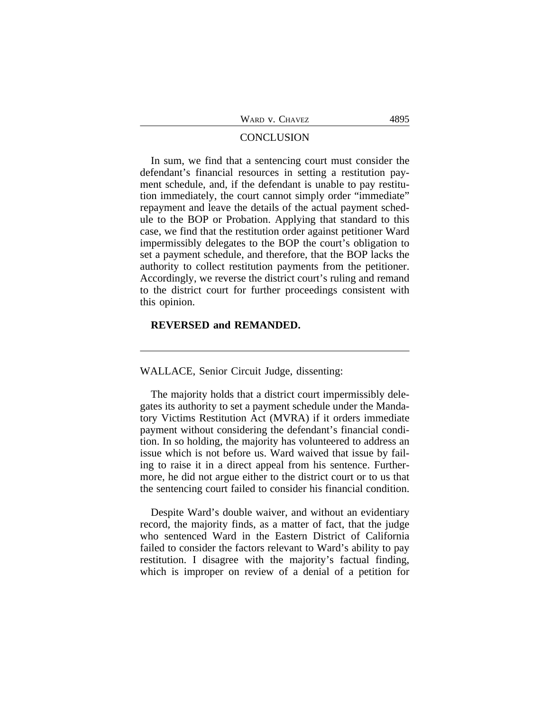|  | WARD V. CHAVEZ |
|--|----------------|
|  |                |

#### **CONCLUSION**

In sum, we find that a sentencing court must consider the defendant's financial resources in setting a restitution payment schedule, and, if the defendant is unable to pay restitution immediately, the court cannot simply order "immediate" repayment and leave the details of the actual payment schedule to the BOP or Probation. Applying that standard to this case, we find that the restitution order against petitioner Ward impermissibly delegates to the BOP the court's obligation to set a payment schedule, and therefore, that the BOP lacks the authority to collect restitution payments from the petitioner. Accordingly, we reverse the district court's ruling and remand to the district court for further proceedings consistent with this opinion.

# **REVERSED and REMANDED.**

WALLACE, Senior Circuit Judge, dissenting:

The majority holds that a district court impermissibly delegates its authority to set a payment schedule under the Mandatory Victims Restitution Act (MVRA) if it orders immediate payment without considering the defendant's financial condition. In so holding, the majority has volunteered to address an issue which is not before us. Ward waived that issue by failing to raise it in a direct appeal from his sentence. Furthermore, he did not argue either to the district court or to us that the sentencing court failed to consider his financial condition.

Despite Ward's double waiver, and without an evidentiary record, the majority finds, as a matter of fact, that the judge who sentenced Ward in the Eastern District of California failed to consider the factors relevant to Ward's ability to pay restitution. I disagree with the majority's factual finding, which is improper on review of a denial of a petition for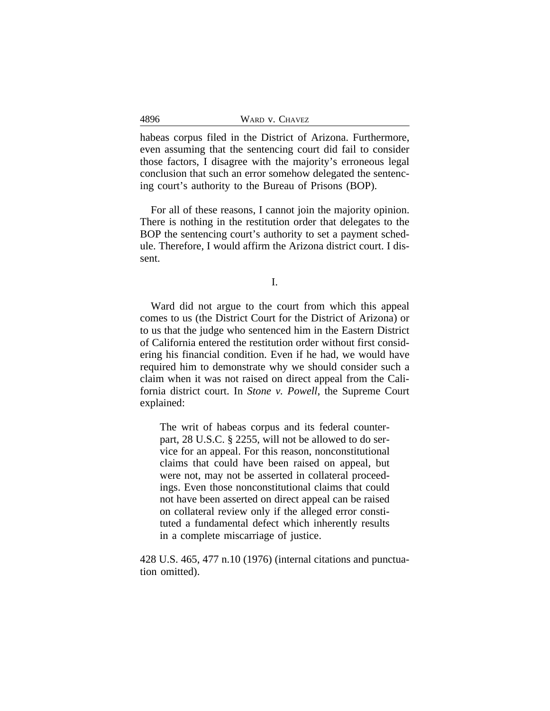| 4896<br>WARD V. CHAVEZ |  |
|------------------------|--|
|------------------------|--|

habeas corpus filed in the District of Arizona. Furthermore, even assuming that the sentencing court did fail to consider those factors, I disagree with the majority's erroneous legal conclusion that such an error somehow delegated the sentencing court's authority to the Bureau of Prisons (BOP).

For all of these reasons, I cannot join the majority opinion. There is nothing in the restitution order that delegates to the BOP the sentencing court's authority to set a payment schedule. Therefore, I would affirm the Arizona district court. I dissent.

I.

Ward did not argue to the court from which this appeal comes to us (the District Court for the District of Arizona) or to us that the judge who sentenced him in the Eastern District of California entered the restitution order without first considering his financial condition. Even if he had, we would have required him to demonstrate why we should consider such a claim when it was not raised on direct appeal from the California district court. In *Stone v. Powell*, the Supreme Court explained:

The writ of habeas corpus and its federal counterpart, 28 U.S.C. § 2255, will not be allowed to do service for an appeal. For this reason, nonconstitutional claims that could have been raised on appeal, but were not, may not be asserted in collateral proceedings. Even those nonconstitutional claims that could not have been asserted on direct appeal can be raised on collateral review only if the alleged error constituted a fundamental defect which inherently results in a complete miscarriage of justice.

428 U.S. 465, 477 n.10 (1976) (internal citations and punctuation omitted).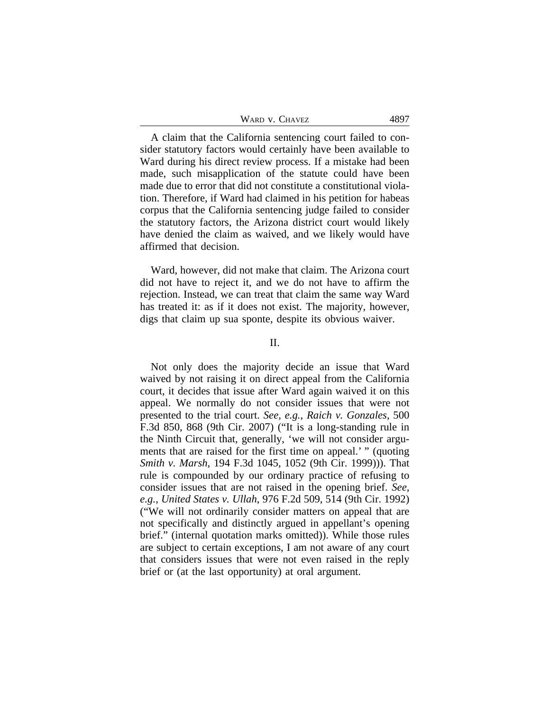| WARD V. CHAVEZ | 4897 |
|----------------|------|
|----------------|------|

A claim that the California sentencing court failed to consider statutory factors would certainly have been available to Ward during his direct review process. If a mistake had been made, such misapplication of the statute could have been made due to error that did not constitute a constitutional violation. Therefore, if Ward had claimed in his petition for habeas corpus that the California sentencing judge failed to consider the statutory factors, the Arizona district court would likely have denied the claim as waived, and we likely would have affirmed that decision.

Ward, however, did not make that claim. The Arizona court did not have to reject it, and we do not have to affirm the rejection. Instead, we can treat that claim the same way Ward has treated it: as if it does not exist. The majority, however, digs that claim up sua sponte, despite its obvious waiver.

# II.

Not only does the majority decide an issue that Ward waived by not raising it on direct appeal from the California court, it decides that issue after Ward again waived it on this appeal. We normally do not consider issues that were not presented to the trial court. *See, e.g.*, *Raich v. Gonzales*, 500 F.3d 850, 868 (9th Cir. 2007) ("It is a long-standing rule in the Ninth Circuit that, generally, 'we will not consider arguments that are raised for the first time on appeal.' " (quoting *Smith v. Marsh*, 194 F.3d 1045, 1052 (9th Cir. 1999))). That rule is compounded by our ordinary practice of refusing to consider issues that are not raised in the opening brief. *See, e.g.*, *United States v. Ullah*, 976 F.2d 509, 514 (9th Cir. 1992) ("We will not ordinarily consider matters on appeal that are not specifically and distinctly argued in appellant's opening brief." (internal quotation marks omitted)). While those rules are subject to certain exceptions, I am not aware of any court that considers issues that were not even raised in the reply brief or (at the last opportunity) at oral argument.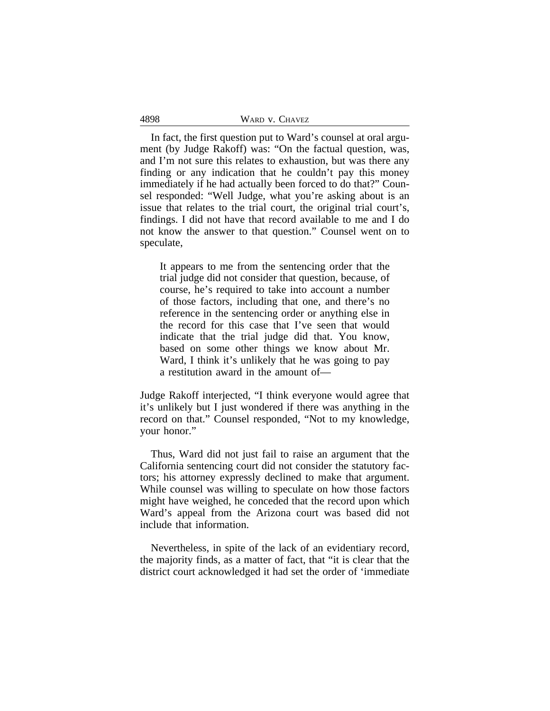4898

In fact, the first question put to Ward's counsel at oral argument (by Judge Rakoff) was: "On the factual question, was, and I'm not sure this relates to exhaustion, but was there any finding or any indication that he couldn't pay this money immediately if he had actually been forced to do that?" Counsel responded: "Well Judge, what you're asking about is an issue that relates to the trial court, the original trial court's, findings. I did not have that record available to me and I do not know the answer to that question." Counsel went on to speculate,

It appears to me from the sentencing order that the trial judge did not consider that question, because, of course, he's required to take into account a number of those factors, including that one, and there's no reference in the sentencing order or anything else in the record for this case that I've seen that would indicate that the trial judge did that. You know, based on some other things we know about Mr. Ward, I think it's unlikely that he was going to pay a restitution award in the amount of—

Judge Rakoff interjected, "I think everyone would agree that it's unlikely but I just wondered if there was anything in the record on that." Counsel responded, "Not to my knowledge, your honor."

Thus, Ward did not just fail to raise an argument that the California sentencing court did not consider the statutory factors; his attorney expressly declined to make that argument. While counsel was willing to speculate on how those factors might have weighed, he conceded that the record upon which Ward's appeal from the Arizona court was based did not include that information.

Nevertheless, in spite of the lack of an evidentiary record, the majority finds, as a matter of fact, that "it is clear that the district court acknowledged it had set the order of 'immediate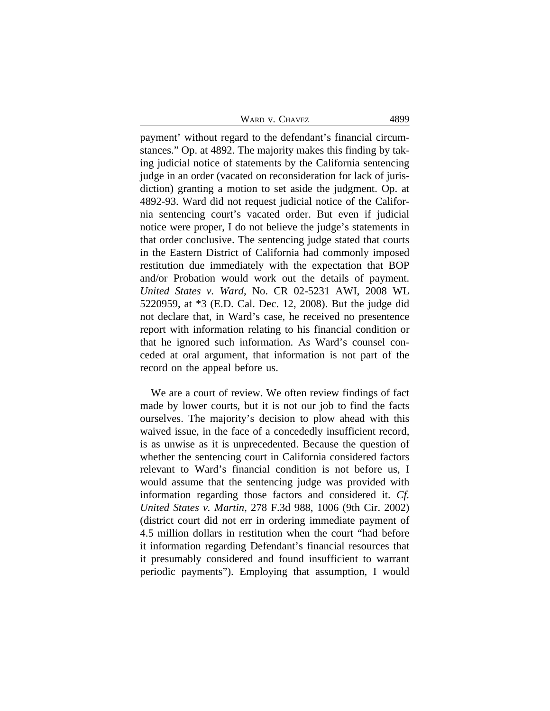| Ward v. Chavez |  |
|----------------|--|
|----------------|--|

payment' without regard to the defendant's financial circumstances." Op. at 4892. The majority makes this finding by taking judicial notice of statements by the California sentencing judge in an order (vacated on reconsideration for lack of jurisdiction) granting a motion to set aside the judgment. Op. at 4892-93. Ward did not request judicial notice of the California sentencing court's vacated order. But even if judicial notice were proper, I do not believe the judge's statements in that order conclusive. The sentencing judge stated that courts in the Eastern District of California had commonly imposed restitution due immediately with the expectation that BOP and/or Probation would work out the details of payment. *United States v. Ward*, No. CR 02-5231 AWI, 2008 WL 5220959, at \*3 (E.D. Cal. Dec. 12, 2008). But the judge did not declare that, in Ward's case, he received no presentence report with information relating to his financial condition or that he ignored such information. As Ward's counsel conceded at oral argument, that information is not part of the record on the appeal before us.

We are a court of review. We often review findings of fact made by lower courts, but it is not our job to find the facts ourselves. The majority's decision to plow ahead with this waived issue, in the face of a concededly insufficient record, is as unwise as it is unprecedented. Because the question of whether the sentencing court in California considered factors relevant to Ward's financial condition is not before us, I would assume that the sentencing judge was provided with information regarding those factors and considered it. *Cf. United States v. Martin*, 278 F.3d 988, 1006 (9th Cir. 2002) (district court did not err in ordering immediate payment of 4.5 million dollars in restitution when the court "had before it information regarding Defendant's financial resources that it presumably considered and found insufficient to warrant periodic payments"). Employing that assumption, I would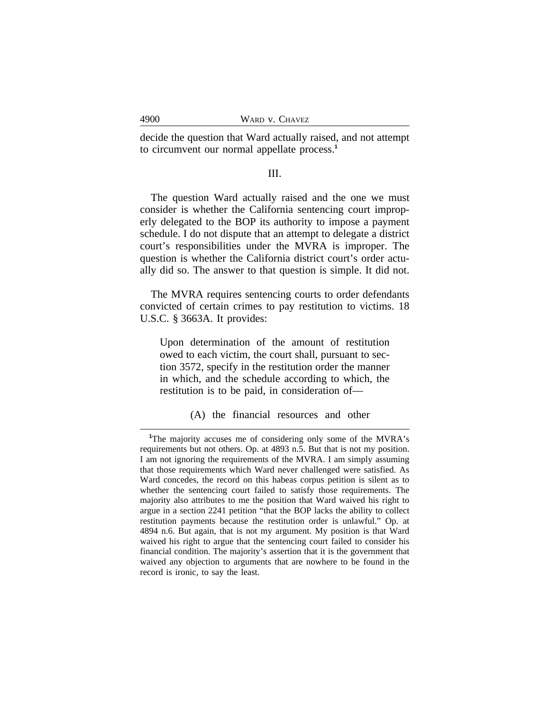decide the question that Ward actually raised, and not attempt to circumvent our normal appellate process.**<sup>1</sup>**

# III.

The question Ward actually raised and the one we must consider is whether the California sentencing court improperly delegated to the BOP its authority to impose a payment schedule. I do not dispute that an attempt to delegate a district court's responsibilities under the MVRA is improper. The question is whether the California district court's order actually did so. The answer to that question is simple. It did not.

The MVRA requires sentencing courts to order defendants convicted of certain crimes to pay restitution to victims. 18 U.S.C. § 3663A. It provides:

Upon determination of the amount of restitution owed to each victim, the court shall, pursuant to section 3572, specify in the restitution order the manner in which, and the schedule according to which, the restitution is to be paid, in consideration of—

(A) the financial resources and other

**<sup>1</sup>**The majority accuses me of considering only some of the MVRA's requirements but not others. Op. at 4893 n.5. But that is not my position. I am not ignoring the requirements of the MVRA. I am simply assuming that those requirements which Ward never challenged were satisfied. As Ward concedes, the record on this habeas corpus petition is silent as to whether the sentencing court failed to satisfy those requirements. The majority also attributes to me the position that Ward waived his right to argue in a section 2241 petition "that the BOP lacks the ability to collect restitution payments because the restitution order is unlawful." Op. at 4894 n.6. But again, that is not my argument. My position is that Ward waived his right to argue that the sentencing court failed to consider his financial condition. The majority's assertion that it is the government that waived any objection to arguments that are nowhere to be found in the record is ironic, to say the least.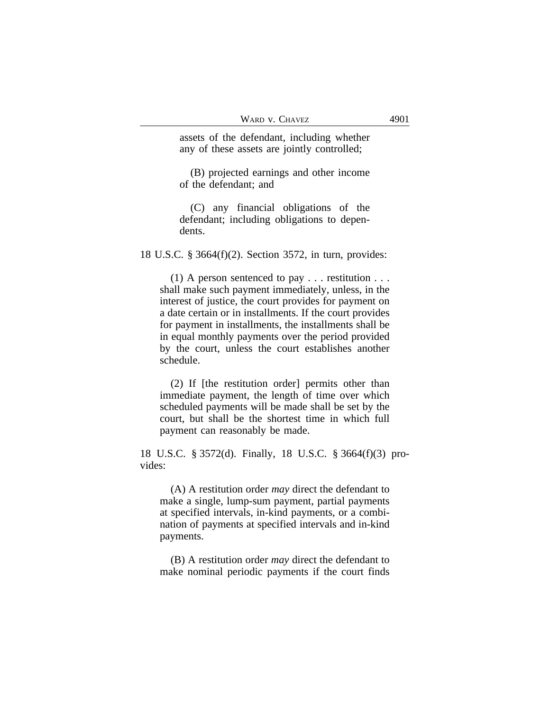assets of the defendant, including whether any of these assets are jointly controlled;

(B) projected earnings and other income of the defendant; and

(C) any financial obligations of the defendant; including obligations to dependents.

18 U.S.C. § 3664(f)(2). Section 3572, in turn, provides:

(1) A person sentenced to pay  $\dots$  restitution  $\dots$ shall make such payment immediately, unless, in the interest of justice, the court provides for payment on a date certain or in installments. If the court provides for payment in installments, the installments shall be in equal monthly payments over the period provided by the court, unless the court establishes another schedule.

(2) If [the restitution order] permits other than immediate payment, the length of time over which scheduled payments will be made shall be set by the court, but shall be the shortest time in which full payment can reasonably be made.

18 U.S.C. § 3572(d). Finally, 18 U.S.C. § 3664(f)(3) provides:

(A) A restitution order *may* direct the defendant to make a single, lump-sum payment, partial payments at specified intervals, in-kind payments, or a combination of payments at specified intervals and in-kind payments.

(B) A restitution order *may* direct the defendant to make nominal periodic payments if the court finds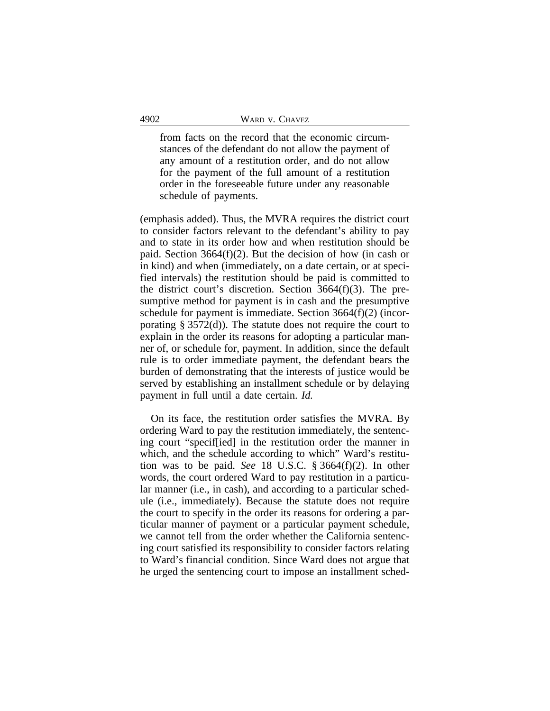from facts on the record that the economic circumstances of the defendant do not allow the payment of any amount of a restitution order, and do not allow for the payment of the full amount of a restitution order in the foreseeable future under any reasonable schedule of payments.

(emphasis added). Thus, the MVRA requires the district court to consider factors relevant to the defendant's ability to pay and to state in its order how and when restitution should be paid. Section 3664(f)(2). But the decision of how (in cash or in kind) and when (immediately, on a date certain, or at specified intervals) the restitution should be paid is committed to the district court's discretion. Section 3664(f)(3). The presumptive method for payment is in cash and the presumptive schedule for payment is immediate. Section 3664(f)(2) (incorporating § 3572(d)). The statute does not require the court to explain in the order its reasons for adopting a particular manner of, or schedule for, payment. In addition, since the default rule is to order immediate payment, the defendant bears the burden of demonstrating that the interests of justice would be served by establishing an installment schedule or by delaying payment in full until a date certain. *Id.*

On its face, the restitution order satisfies the MVRA. By ordering Ward to pay the restitution immediately, the sentencing court "specif[ied] in the restitution order the manner in which, and the schedule according to which" Ward's restitution was to be paid. *See* 18 U.S.C. § 3664(f)(2). In other words, the court ordered Ward to pay restitution in a particular manner (i.e., in cash), and according to a particular schedule (i.e., immediately). Because the statute does not require the court to specify in the order its reasons for ordering a particular manner of payment or a particular payment schedule, we cannot tell from the order whether the California sentencing court satisfied its responsibility to consider factors relating to Ward's financial condition. Since Ward does not argue that he urged the sentencing court to impose an installment sched-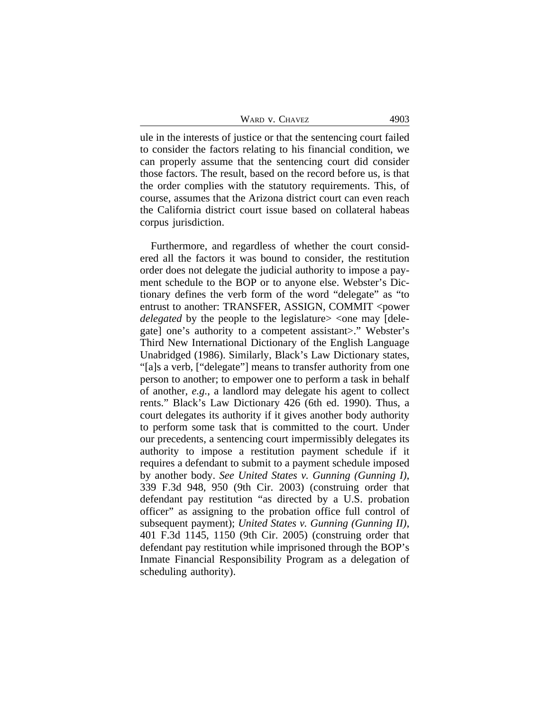|  | Ward v. Chavez |  |
|--|----------------|--|
|--|----------------|--|

ule in the interests of justice or that the sentencing court failed to consider the factors relating to his financial condition, we can properly assume that the sentencing court did consider those factors. The result, based on the record before us, is that the order complies with the statutory requirements. This, of course, assumes that the Arizona district court can even reach the California district court issue based on collateral habeas corpus jurisdiction.

Furthermore, and regardless of whether the court considered all the factors it was bound to consider, the restitution order does not delegate the judicial authority to impose a payment schedule to the BOP or to anyone else. Webster's Dictionary defines the verb form of the word "delegate" as "to entrust to another: TRANSFER, ASSIGN, COMMIT <power *delegated* by the people to the legislature> <one may [delegate] one's authority to a competent assistant>." Webster's Third New International Dictionary of the English Language Unabridged (1986). Similarly, Black's Law Dictionary states, "[a]s a verb, ["delegate"] means to transfer authority from one person to another; to empower one to perform a task in behalf of another, *e.g.*, a landlord may delegate his agent to collect rents." Black's Law Dictionary 426 (6th ed. 1990). Thus, a court delegates its authority if it gives another body authority to perform some task that is committed to the court. Under our precedents, a sentencing court impermissibly delegates its authority to impose a restitution payment schedule if it requires a defendant to submit to a payment schedule imposed by another body. *See United States v. Gunning (Gunning I)*, 339 F.3d 948, 950 (9th Cir. 2003) (construing order that defendant pay restitution "as directed by a U.S. probation officer" as assigning to the probation office full control of subsequent payment); *United States v. Gunning (Gunning II)*, 401 F.3d 1145, 1150 (9th Cir. 2005) (construing order that defendant pay restitution while imprisoned through the BOP's Inmate Financial Responsibility Program as a delegation of scheduling authority).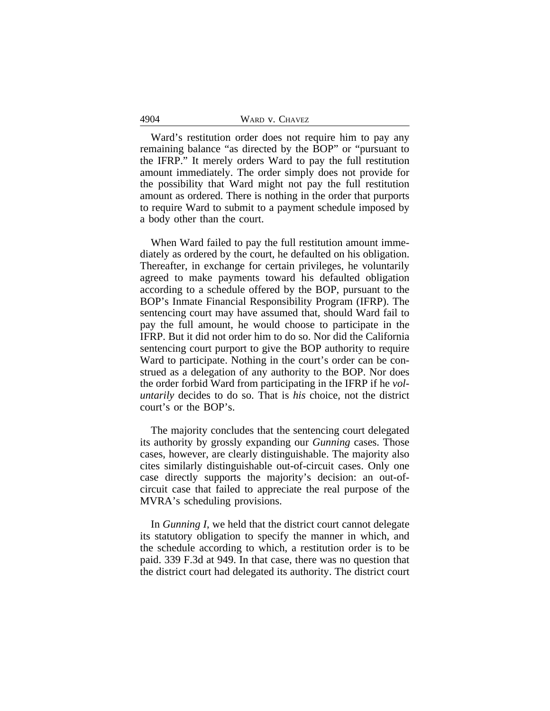| 4904 | WARD V. CHAVEZ |  |
|------|----------------|--|
|      |                |  |

Ward's restitution order does not require him to pay any remaining balance "as directed by the BOP" or "pursuant to the IFRP." It merely orders Ward to pay the full restitution amount immediately. The order simply does not provide for the possibility that Ward might not pay the full restitution amount as ordered. There is nothing in the order that purports to require Ward to submit to a payment schedule imposed by a body other than the court.

When Ward failed to pay the full restitution amount immediately as ordered by the court, he defaulted on his obligation. Thereafter, in exchange for certain privileges, he voluntarily agreed to make payments toward his defaulted obligation according to a schedule offered by the BOP, pursuant to the BOP's Inmate Financial Responsibility Program (IFRP). The sentencing court may have assumed that, should Ward fail to pay the full amount, he would choose to participate in the IFRP. But it did not order him to do so. Nor did the California sentencing court purport to give the BOP authority to require Ward to participate. Nothing in the court's order can be construed as a delegation of any authority to the BOP. Nor does the order forbid Ward from participating in the IFRP if he *voluntarily* decides to do so. That is *his* choice, not the district court's or the BOP's.

The majority concludes that the sentencing court delegated its authority by grossly expanding our *Gunning* cases. Those cases, however, are clearly distinguishable. The majority also cites similarly distinguishable out-of-circuit cases. Only one case directly supports the majority's decision: an out-ofcircuit case that failed to appreciate the real purpose of the MVRA's scheduling provisions.

In *Gunning I*, we held that the district court cannot delegate its statutory obligation to specify the manner in which, and the schedule according to which, a restitution order is to be paid. 339 F.3d at 949. In that case, there was no question that the district court had delegated its authority. The district court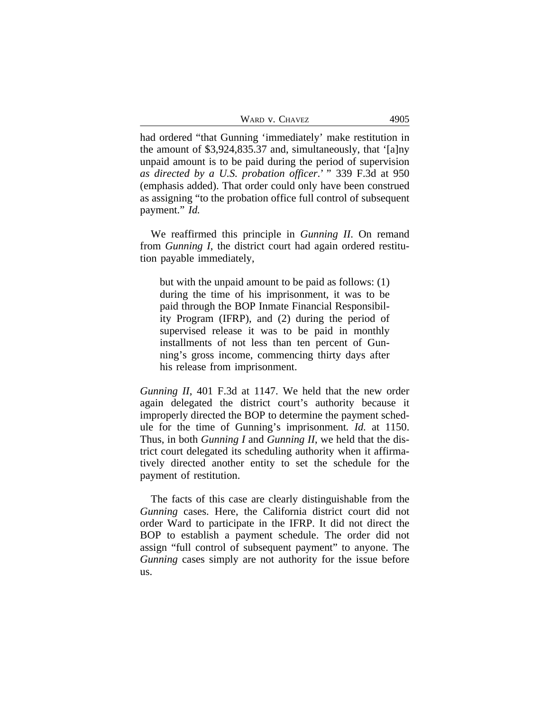| WARD V. CHAVEZ |  |  | 4905 |
|----------------|--|--|------|
|----------------|--|--|------|

had ordered "that Gunning 'immediately' make restitution in the amount of \$3,924,835.37 and, simultaneously, that '[a]ny unpaid amount is to be paid during the period of supervision *as directed by a U.S. probation officer*.' " 339 F.3d at 950 (emphasis added). That order could only have been construed as assigning "to the probation office full control of subsequent payment." *Id.*

We reaffirmed this principle in *Gunning II*. On remand from *Gunning I*, the district court had again ordered restitution payable immediately,

but with the unpaid amount to be paid as follows: (1) during the time of his imprisonment, it was to be paid through the BOP Inmate Financial Responsibility Program (IFRP), and (2) during the period of supervised release it was to be paid in monthly installments of not less than ten percent of Gunning's gross income, commencing thirty days after his release from imprisonment.

*Gunning II*, 401 F.3d at 1147. We held that the new order again delegated the district court's authority because it improperly directed the BOP to determine the payment schedule for the time of Gunning's imprisonment*. Id.* at 1150. Thus, in both *Gunning I* and *Gunning II*, we held that the district court delegated its scheduling authority when it affirmatively directed another entity to set the schedule for the payment of restitution.

The facts of this case are clearly distinguishable from the *Gunning* cases. Here, the California district court did not order Ward to participate in the IFRP. It did not direct the BOP to establish a payment schedule. The order did not assign "full control of subsequent payment" to anyone. The *Gunning* cases simply are not authority for the issue before us.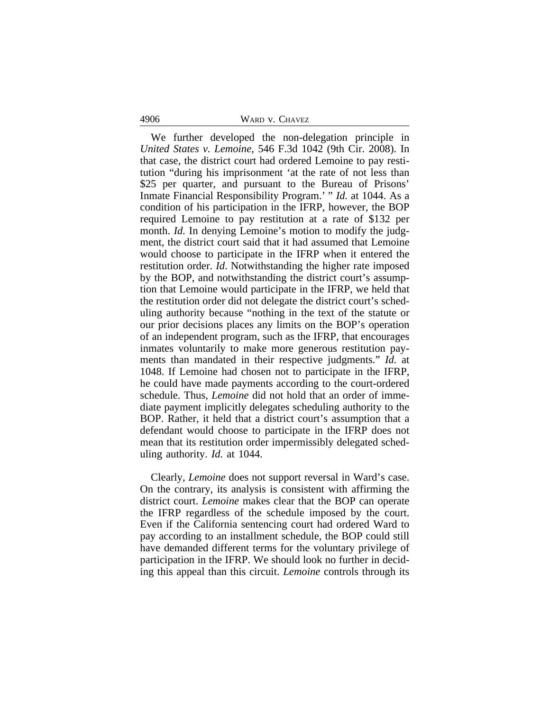#### 4906 WARD v. CHAVEZ

We further developed the non-delegation principle in *United States v. Lemoine*, 546 F.3d 1042 (9th Cir. 2008). In that case, the district court had ordered Lemoine to pay restitution "during his imprisonment 'at the rate of not less than \$25 per quarter, and pursuant to the Bureau of Prisons' Inmate Financial Responsibility Program.' " *Id.* at 1044. As a condition of his participation in the IFRP, however, the BOP required Lemoine to pay restitution at a rate of \$132 per month. *Id.* In denying Lemoine's motion to modify the judgment, the district court said that it had assumed that Lemoine would choose to participate in the IFRP when it entered the restitution order. *Id*. Notwithstanding the higher rate imposed by the BOP, and notwithstanding the district court's assumption that Lemoine would participate in the IFRP, we held that the restitution order did not delegate the district court's scheduling authority because "nothing in the text of the statute or our prior decisions places any limits on the BOP's operation of an independent program, such as the IFRP, that encourages inmates voluntarily to make more generous restitution payments than mandated in their respective judgments." *Id.* at 1048. If Lemoine had chosen not to participate in the IFRP, he could have made payments according to the court-ordered schedule. Thus, *Lemoine* did not hold that an order of immediate payment implicitly delegates scheduling authority to the BOP. Rather, it held that a district court's assumption that a defendant would choose to participate in the IFRP does not mean that its restitution order impermissibly delegated scheduling authority. *Id.* at 1044.

Clearly, *Lemoine* does not support reversal in Ward's case. On the contrary, its analysis is consistent with affirming the district court. *Lemoine* makes clear that the BOP can operate the IFRP regardless of the schedule imposed by the court. Even if the California sentencing court had ordered Ward to pay according to an installment schedule, the BOP could still have demanded different terms for the voluntary privilege of participation in the IFRP. We should look no further in deciding this appeal than this circuit. *Lemoine* controls through its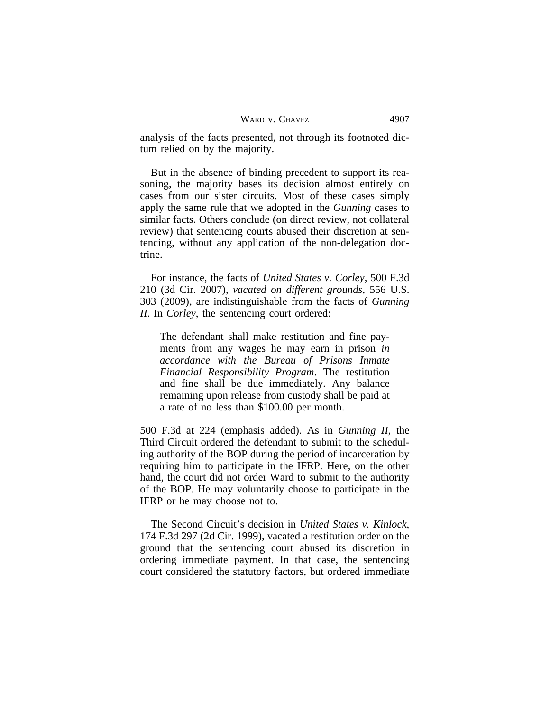| WARD V. CHAVEZ | 4907 |
|----------------|------|
|----------------|------|

analysis of the facts presented, not through its footnoted dictum relied on by the majority.

But in the absence of binding precedent to support its reasoning, the majority bases its decision almost entirely on cases from our sister circuits. Most of these cases simply apply the same rule that we adopted in the *Gunning* cases to similar facts. Others conclude (on direct review, not collateral review) that sentencing courts abused their discretion at sentencing, without any application of the non-delegation doctrine.

For instance, the facts of *United States v. Corley*, 500 F.3d 210 (3d Cir. 2007), *vacated on different grounds*, 556 U.S. 303 (2009), are indistinguishable from the facts of *Gunning II*. In *Corley*, the sentencing court ordered:

The defendant shall make restitution and fine payments from any wages he may earn in prison *in accordance with the Bureau of Prisons Inmate Financial Responsibility Program*. The restitution and fine shall be due immediately. Any balance remaining upon release from custody shall be paid at a rate of no less than \$100.00 per month.

500 F.3d at 224 (emphasis added). As in *Gunning II*, the Third Circuit ordered the defendant to submit to the scheduling authority of the BOP during the period of incarceration by requiring him to participate in the IFRP. Here, on the other hand, the court did not order Ward to submit to the authority of the BOP. He may voluntarily choose to participate in the IFRP or he may choose not to.

The Second Circuit's decision in *United States v. Kinlock*, 174 F.3d 297 (2d Cir. 1999), vacated a restitution order on the ground that the sentencing court abused its discretion in ordering immediate payment. In that case, the sentencing court considered the statutory factors, but ordered immediate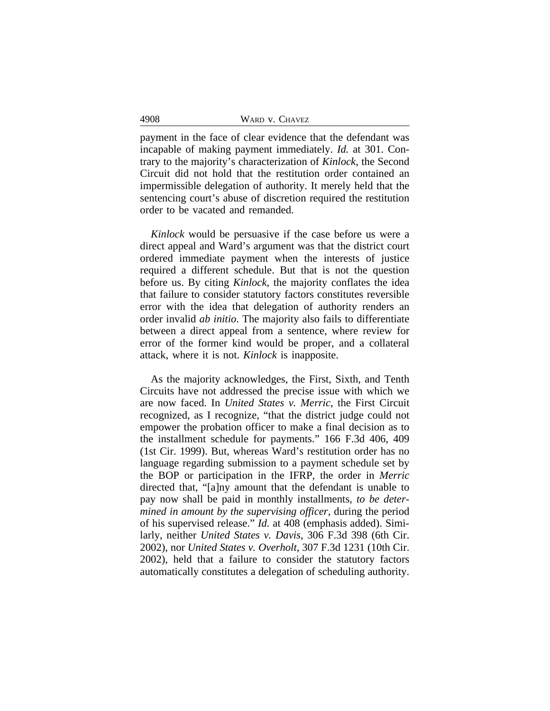4908 WARD v. CHAVEZ

payment in the face of clear evidence that the defendant was incapable of making payment immediately. *Id.* at 301. Contrary to the majority's characterization of *Kinlock*, the Second Circuit did not hold that the restitution order contained an impermissible delegation of authority. It merely held that the sentencing court's abuse of discretion required the restitution order to be vacated and remanded.

*Kinlock* would be persuasive if the case before us were a direct appeal and Ward's argument was that the district court ordered immediate payment when the interests of justice required a different schedule. But that is not the question before us. By citing *Kinlock*, the majority conflates the idea that failure to consider statutory factors constitutes reversible error with the idea that delegation of authority renders an order invalid *ab initio*. The majority also fails to differentiate between a direct appeal from a sentence, where review for error of the former kind would be proper, and a collateral attack, where it is not. *Kinlock* is inapposite.

As the majority acknowledges, the First, Sixth, and Tenth Circuits have not addressed the precise issue with which we are now faced. In *United States v. Merric*, the First Circuit recognized, as I recognize, "that the district judge could not empower the probation officer to make a final decision as to the installment schedule for payments." 166 F.3d 406, 409 (1st Cir. 1999). But, whereas Ward's restitution order has no language regarding submission to a payment schedule set by the BOP or participation in the IFRP, the order in *Merric* directed that, "[a]ny amount that the defendant is unable to pay now shall be paid in monthly installments, *to be determined in amount by the supervising officer*, during the period of his supervised release." *Id.* at 408 (emphasis added). Similarly, neither *United States v. Davis*, 306 F.3d 398 (6th Cir. 2002), nor *United States v. Overholt*, 307 F.3d 1231 (10th Cir. 2002), held that a failure to consider the statutory factors automatically constitutes a delegation of scheduling authority.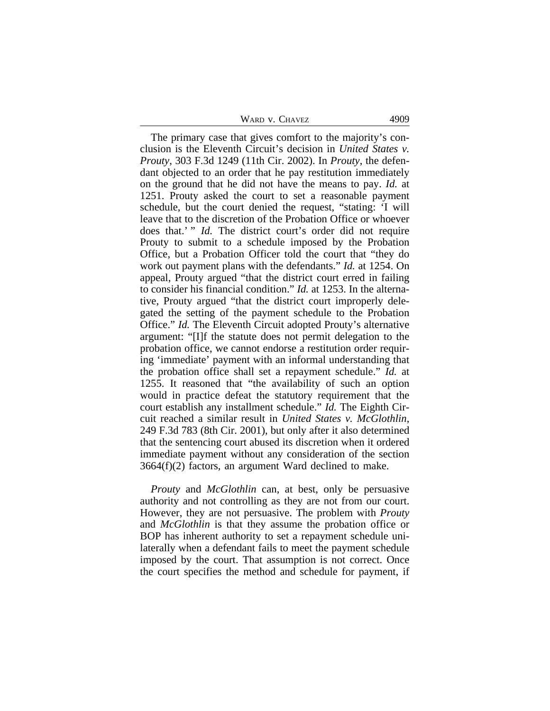WARD V. CHAVEZ 4909

The primary case that gives comfort to the majority's conclusion is the Eleventh Circuit's decision in *United States v. Prouty*, 303 F.3d 1249 (11th Cir. 2002). In *Prouty*, the defendant objected to an order that he pay restitution immediately on the ground that he did not have the means to pay. *Id.* at 1251. Prouty asked the court to set a reasonable payment schedule, but the court denied the request, "stating: 'I will leave that to the discretion of the Probation Office or whoever does that.' " *Id.* The district court's order did not require Prouty to submit to a schedule imposed by the Probation Office, but a Probation Officer told the court that "they do work out payment plans with the defendants." *Id.* at 1254. On appeal, Prouty argued "that the district court erred in failing to consider his financial condition." *Id.* at 1253. In the alternative, Prouty argued "that the district court improperly delegated the setting of the payment schedule to the Probation Office." *Id.* The Eleventh Circuit adopted Prouty's alternative argument: "[I]f the statute does not permit delegation to the probation office, we cannot endorse a restitution order requiring 'immediate' payment with an informal understanding that the probation office shall set a repayment schedule." *Id.* at 1255. It reasoned that "the availability of such an option would in practice defeat the statutory requirement that the court establish any installment schedule." *Id.* The Eighth Circuit reached a similar result in *United States v. McGlothlin*, 249 F.3d 783 (8th Cir. 2001), but only after it also determined that the sentencing court abused its discretion when it ordered immediate payment without any consideration of the section  $3664(f)(2)$  factors, an argument Ward declined to make.

*Prouty* and *McGlothlin* can, at best, only be persuasive authority and not controlling as they are not from our court. However, they are not persuasive. The problem with *Prouty* and *McGlothlin* is that they assume the probation office or BOP has inherent authority to set a repayment schedule unilaterally when a defendant fails to meet the payment schedule imposed by the court. That assumption is not correct. Once the court specifies the method and schedule for payment, if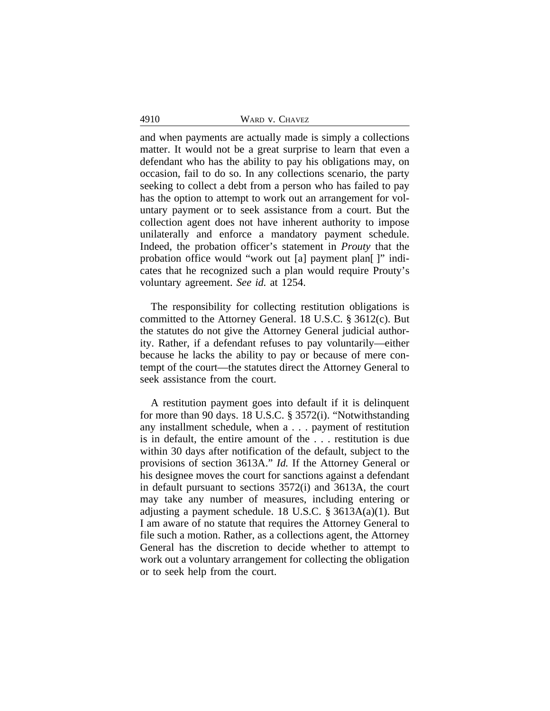| 4910 | WARD V. CHAVEZ |
|------|----------------|
|      |                |

and when payments are actually made is simply a collections matter. It would not be a great surprise to learn that even a defendant who has the ability to pay his obligations may, on occasion, fail to do so. In any collections scenario, the party seeking to collect a debt from a person who has failed to pay has the option to attempt to work out an arrangement for voluntary payment or to seek assistance from a court. But the collection agent does not have inherent authority to impose unilaterally and enforce a mandatory payment schedule. Indeed, the probation officer's statement in *Prouty* that the probation office would "work out [a] payment plan[ ]" indicates that he recognized such a plan would require Prouty's voluntary agreement. *See id.* at 1254.

The responsibility for collecting restitution obligations is committed to the Attorney General. 18 U.S.C. § 3612(c). But the statutes do not give the Attorney General judicial authority. Rather, if a defendant refuses to pay voluntarily—either because he lacks the ability to pay or because of mere contempt of the court—the statutes direct the Attorney General to seek assistance from the court.

A restitution payment goes into default if it is delinquent for more than 90 days. 18 U.S.C. § 3572(i). "Notwithstanding any installment schedule, when a . . . payment of restitution is in default, the entire amount of the . . . restitution is due within 30 days after notification of the default, subject to the provisions of section 3613A." *Id.* If the Attorney General or his designee moves the court for sanctions against a defendant in default pursuant to sections 3572(i) and 3613A, the court may take any number of measures, including entering or adjusting a payment schedule. 18 U.S.C. § 3613A(a)(1). But I am aware of no statute that requires the Attorney General to file such a motion. Rather, as a collections agent, the Attorney General has the discretion to decide whether to attempt to work out a voluntary arrangement for collecting the obligation or to seek help from the court.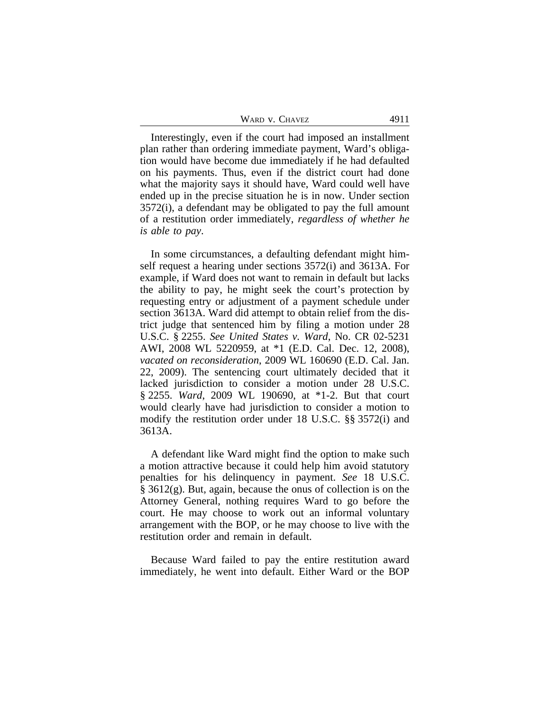| WARD V. CHAVEZ | 4911 |
|----------------|------|
|----------------|------|

Interestingly, even if the court had imposed an installment plan rather than ordering immediate payment, Ward's obligation would have become due immediately if he had defaulted on his payments. Thus, even if the district court had done what the majority says it should have, Ward could well have ended up in the precise situation he is in now. Under section 3572(i), a defendant may be obligated to pay the full amount of a restitution order immediately, *regardless of whether he is able to pay*.

In some circumstances, a defaulting defendant might himself request a hearing under sections 3572(i) and 3613A. For example, if Ward does not want to remain in default but lacks the ability to pay, he might seek the court's protection by requesting entry or adjustment of a payment schedule under section 3613A. Ward did attempt to obtain relief from the district judge that sentenced him by filing a motion under 28 U.S.C. § 2255. *See United States v. Ward*, No. CR 02-5231 AWI, 2008 WL 5220959, at \*1 (E.D. Cal. Dec. 12, 2008), *vacated on reconsideration*, 2009 WL 160690 (E.D. Cal. Jan. 22, 2009). The sentencing court ultimately decided that it lacked jurisdiction to consider a motion under 28 U.S.C. § 2255. *Ward*, 2009 WL 190690, at \*1-2. But that court would clearly have had jurisdiction to consider a motion to modify the restitution order under 18 U.S.C. §§ 3572(i) and 3613A.

A defendant like Ward might find the option to make such a motion attractive because it could help him avoid statutory penalties for his delinquency in payment. *See* 18 U.S.C. § 3612(g). But, again, because the onus of collection is on the Attorney General, nothing requires Ward to go before the court. He may choose to work out an informal voluntary arrangement with the BOP, or he may choose to live with the restitution order and remain in default.

Because Ward failed to pay the entire restitution award immediately, he went into default. Either Ward or the BOP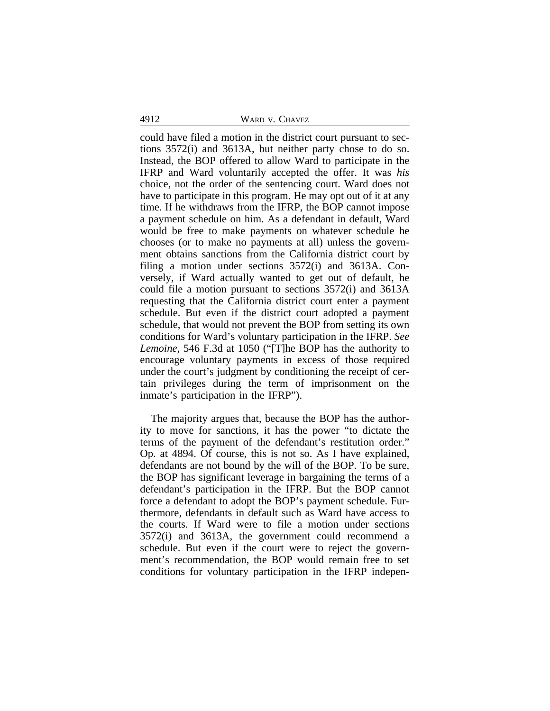4912 WARD v. CHAVEZ

could have filed a motion in the district court pursuant to sections 3572(i) and 3613A, but neither party chose to do so. Instead, the BOP offered to allow Ward to participate in the IFRP and Ward voluntarily accepted the offer. It was *his* choice, not the order of the sentencing court. Ward does not have to participate in this program. He may opt out of it at any time. If he withdraws from the IFRP, the BOP cannot impose a payment schedule on him. As a defendant in default, Ward would be free to make payments on whatever schedule he chooses (or to make no payments at all) unless the government obtains sanctions from the California district court by filing a motion under sections 3572(i) and 3613A. Conversely, if Ward actually wanted to get out of default, he could file a motion pursuant to sections 3572(i) and 3613A requesting that the California district court enter a payment schedule. But even if the district court adopted a payment schedule, that would not prevent the BOP from setting its own conditions for Ward's voluntary participation in the IFRP. *See Lemoine*, 546 F.3d at 1050 ("[T]he BOP has the authority to encourage voluntary payments in excess of those required under the court's judgment by conditioning the receipt of certain privileges during the term of imprisonment on the inmate's participation in the IFRP").

The majority argues that, because the BOP has the authority to move for sanctions, it has the power "to dictate the terms of the payment of the defendant's restitution order." Op. at 4894. Of course, this is not so. As I have explained, defendants are not bound by the will of the BOP. To be sure, the BOP has significant leverage in bargaining the terms of a defendant's participation in the IFRP. But the BOP cannot force a defendant to adopt the BOP's payment schedule. Furthermore, defendants in default such as Ward have access to the courts. If Ward were to file a motion under sections 3572(i) and 3613A, the government could recommend a schedule. But even if the court were to reject the government's recommendation, the BOP would remain free to set conditions for voluntary participation in the IFRP indepen-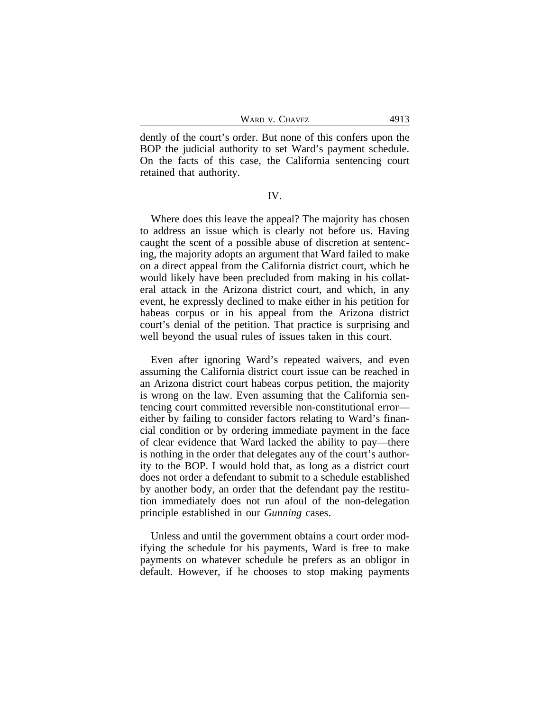dently of the court's order. But none of this confers upon the BOP the judicial authority to set Ward's payment schedule. On the facts of this case, the California sentencing court retained that authority.

## IV.

Where does this leave the appeal? The majority has chosen to address an issue which is clearly not before us. Having caught the scent of a possible abuse of discretion at sentencing, the majority adopts an argument that Ward failed to make on a direct appeal from the California district court, which he would likely have been precluded from making in his collateral attack in the Arizona district court, and which, in any event, he expressly declined to make either in his petition for habeas corpus or in his appeal from the Arizona district court's denial of the petition. That practice is surprising and well beyond the usual rules of issues taken in this court.

Even after ignoring Ward's repeated waivers, and even assuming the California district court issue can be reached in an Arizona district court habeas corpus petition, the majority is wrong on the law. Even assuming that the California sentencing court committed reversible non-constitutional error either by failing to consider factors relating to Ward's financial condition or by ordering immediate payment in the face of clear evidence that Ward lacked the ability to pay—there is nothing in the order that delegates any of the court's authority to the BOP. I would hold that, as long as a district court does not order a defendant to submit to a schedule established by another body, an order that the defendant pay the restitution immediately does not run afoul of the non-delegation principle established in our *Gunning* cases.

Unless and until the government obtains a court order modifying the schedule for his payments, Ward is free to make payments on whatever schedule he prefers as an obligor in default. However, if he chooses to stop making payments